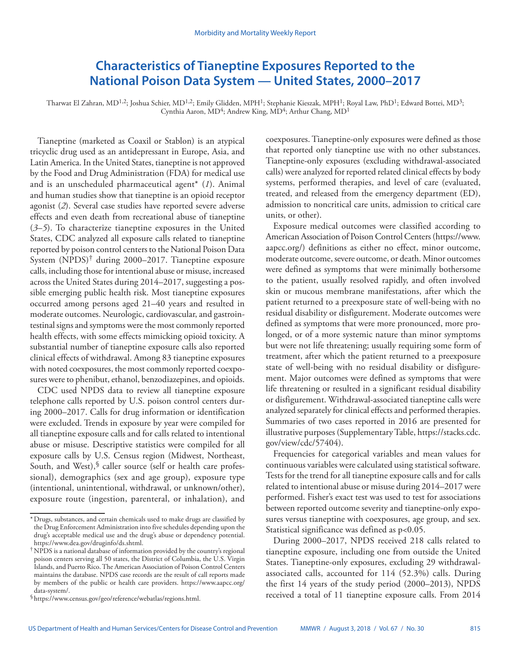# **Characteristics of Tianeptine Exposures Reported to the National Poison Data System — United States, 2000–2017**

Tharwat El Zahran, MD1,2; Joshua Schier, MD1,2; Emily Glidden, MPH1; Stephanie Kieszak, MPH1; Royal Law, PhD1; Edward Bottei, MD3; Cynthia Aaron, MD<sup>4</sup>; Andrew King, MD<sup>4</sup>; Arthur Chang, MD<sup>1</sup>

Tianeptine (marketed as Coaxil or Stablon) is an atypical tricyclic drug used as an antidepressant in Europe, Asia, and Latin America. In the United States, tianeptine is not approved by the Food and Drug Administration (FDA) for medical use and is an unscheduled pharmaceutical agent\* (*1*). Animal and human studies show that tianeptine is an opioid receptor agonist (*2*). Several case studies have reported severe adverse effects and even death from recreational abuse of tianeptine (*3*–*5*). To characterize tianeptine exposures in the United States, CDC analyzed all exposure calls related to tianeptine reported by poison control centers to the National Poison Data System (NPDS)† during 2000–2017. Tianeptine exposure calls, including those for intentional abuse or misuse, increased across the United States during 2014–2017, suggesting a possible emerging public health risk. Most tianeptine exposures occurred among persons aged 21–40 years and resulted in moderate outcomes. Neurologic, cardiovascular, and gastrointestinal signs and symptoms were the most commonly reported health effects, with some effects mimicking opioid toxicity. A substantial number of tianeptine exposure calls also reported clinical effects of withdrawal. Among 83 tianeptine exposures with noted coexposures, the most commonly reported coexposures were to phenibut, ethanol, benzodiazepines, and opioids.

CDC used NPDS data to review all tianeptine exposure telephone calls reported by U.S. poison control centers during 2000–2017. Calls for drug information or identification were excluded. Trends in exposure by year were compiled for all tianeptine exposure calls and for calls related to intentional abuse or misuse. Descriptive statistics were compiled for all exposure calls by U.S. Census region (Midwest, Northeast, South, and West), $\delta$  caller source (self or health care professional), demographics (sex and age group), exposure type (intentional, unintentional, withdrawal, or unknown/other), exposure route (ingestion, parenteral, or inhalation), and

Exposure medical outcomes were classified according to American Association of Poison Control Centers ([https://www.](https://www.aapcc.org/) [aapcc.org/](https://www.aapcc.org/)) definitions as either no effect, minor outcome, moderate outcome, severe outcome, or death. Minor outcomes were defined as symptoms that were minimally bothersome to the patient, usually resolved rapidly, and often involved skin or mucous membrane manifestations, after which the patient returned to a preexposure state of well-being with no residual disability or disfigurement. Moderate outcomes were defined as symptoms that were more pronounced, more prolonged, or of a more systemic nature than minor symptoms but were not life threatening; usually requiring some form of treatment, after which the patient returned to a preexposure state of well-being with no residual disability or disfigurement. Major outcomes were defined as symptoms that were life threatening or resulted in a significant residual disability or disfigurement. Withdrawal-associated tianeptine calls were analyzed separately for clinical effects and performed therapies. Summaries of two cases reported in 2016 are presented for illustrative purposes (Supplementary Table, [https://stacks.cdc.](https://stacks.cdc.gov/view/cdc/57404) [gov/view/cdc/57404](https://stacks.cdc.gov/view/cdc/57404)).

Frequencies for categorical variables and mean values for continuous variables were calculated using statistical software. Tests for the trend for all tianeptine exposure calls and for calls related to intentional abuse or misuse during 2014–2017 were performed. Fisher's exact test was used to test for associations between reported outcome severity and tianeptine-only exposures versus tianeptine with coexposures, age group, and sex. Statistical significance was defined as p<0.05.

During 2000–2017, NPDS received 218 calls related to tianeptine exposure, including one from outside the United States. Tianeptine-only exposures, excluding 29 withdrawalassociated calls, accounted for 114 (52.3%) calls. During the first 14 years of the study period (2000–2013), NPDS received a total of 11 tianeptine exposure calls. From 2014

<sup>\*</sup>Drugs, substances, and certain chemicals used to make drugs are classified by the Drug Enforcement Administration into five schedules depending upon the drug's acceptable medical use and the drug's abuse or dependency potential.

 $\dagger$  NPDS is a national database of information provided by the country's regional poison centers serving all 50 states, the District of Columbia, the U.S. Virgin Islands, and Puerto Rico. The American Association of Poison Control Centers maintains the database. NPDS case records are the result of call reports made by members of the public or health care providers. [https://www.aapcc.org/](https://www.aapcc.org/data-system/)

coexposures. Tianeptine-only exposures were defined as those that reported only tianeptine use with no other substances. Tianeptine-only exposures (excluding withdrawal-associated calls) were analyzed for reported related clinical effects by body systems, performed therapies, and level of care (evaluated, treated, and released from the emergency department (ED), admission to noncritical care units, admission to critical care units, or other).

<sup>§</sup><https://www.census.gov/geo/reference/webatlas/regions.html>.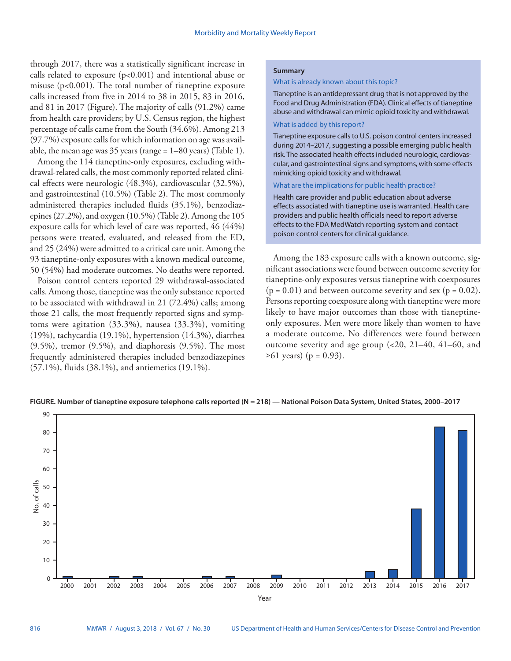through 2017, there was a statistically significant increase in calls related to exposure (p<0.001) and intentional abuse or misuse (p<0.001). The total number of tianeptine exposure calls increased from five in 2014 to 38 in 2015, 83 in 2016, and 81 in 2017 (Figure). The majority of calls (91.2%) came from health care providers; by U.S. Census region, the highest percentage of calls came from the South (34.6%). Among 213 (97.7%) exposure calls for which information on age was available, the mean age was 35 years (range = 1–80 years) (Table 1).

Among the 114 tianeptine-only exposures, excluding withdrawal-related calls, the most commonly reported related clinical effects were neurologic (48.3%), cardiovascular (32.5%), and gastrointestinal (10.5%) (Table 2). The most commonly administered therapies included fluids (35.1%), benzodiazepines (27.2%), and oxygen (10.5%) (Table 2). Among the 105 exposure calls for which level of care was reported, 46 (44%) persons were treated, evaluated, and released from the ED, and 25 (24%) were admitted to a critical care unit. Among the 93 tianeptine-only exposures with a known medical outcome, 50 (54%) had moderate outcomes. No deaths were reported.

Poison control centers reported 29 withdrawal-associated calls. Among those, tianeptine was the only substance reported to be associated with withdrawal in 21 (72.4%) calls; among those 21 calls, the most frequently reported signs and symptoms were agitation (33.3%), nausea (33.3%), vomiting (19%), tachycardia (19.1%), hypertension (14.3%), diarrhea (9.5%), tremor (9.5%), and diaphoresis (9.5%). The most frequently administered therapies included benzodiazepines (57.1%), fluids (38.1%), and antiemetics (19.1%).

# **Summary**

# What is already known about this topic?

Tianeptine is an antidepressant drug that is not approved by the Food and Drug Administration (FDA). Clinical effects of tianeptine abuse and withdrawal can mimic opioid toxicity and withdrawal.

# What is added by this report?

Tianeptine exposure calls to U.S. poison control centers increased during 2014–2017, suggesting a possible emerging public health risk. The associated health effects included neurologic, cardiovascular, and gastrointestinal signs and symptoms, with some effects mimicking opioid toxicity and withdrawal.

#### What are the implications for public health practice?

Health care provider and public education about adverse effects associated with tianeptine use is warranted. Health care providers and public health officials need to report adverse effects to the FDA MedWatch reporting system and contact poison control centers for clinical guidance.

Among the 183 exposure calls with a known outcome, significant associations were found between outcome severity for tianeptine-only exposures versus tianeptine with coexposures  $(p = 0.01)$  and between outcome severity and sex  $(p = 0.02)$ . Persons reporting coexposure along with tianeptine were more likely to have major outcomes than those with tianeptineonly exposures. Men were more likely than women to have a moderate outcome. No differences were found between outcome severity and age group (<20, 21–40, 41–60, and  $≥61$  years) (p = 0.93).



**FIGURE. Number of tianeptine exposure telephone calls reported (N = 218) — National Poison Data System, United States, 2000–2017**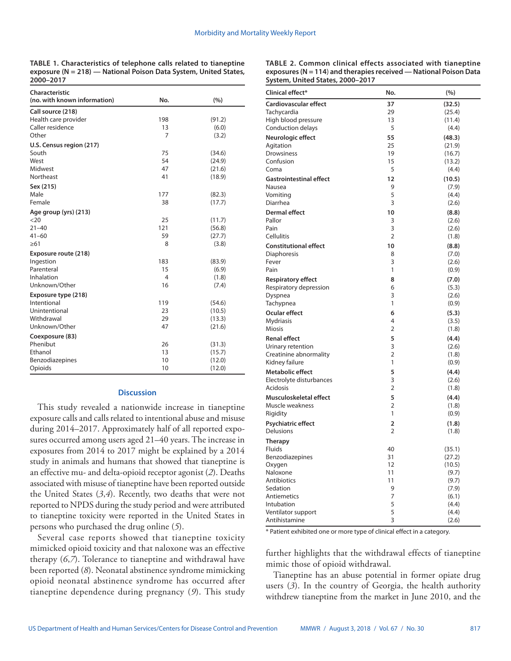**TABLE 1. Characteristics of telephone calls related to tianeptine exposure (N = 218) — National Poison Data System, United States, 2000–2017**

| Characteristic<br>(no. with known information) | No.            | (%)    |
|------------------------------------------------|----------------|--------|
| Call source (218)                              |                |        |
| Health care provider                           | 198            | (91.2) |
| Caller residence                               | 13             | (6.0)  |
| Other                                          | 7              | (3.2)  |
| U.S. Census region (217)                       |                |        |
| South                                          | 75             | (34.6) |
| West                                           | 54             | (24.9) |
| Midwest                                        | 47             | (21.6) |
| Northeast                                      | 41             | (18.9) |
| Sex (215)                                      |                |        |
| Male                                           | 177            | (82.3) |
| Female                                         | 38             | (17.7) |
| Age group (yrs) (213)                          |                |        |
| <20                                            | 25             | (11.7) |
| $21 - 40$                                      | 121            | (56.8) |
| $41 - 60$                                      | 59             | (27.7) |
| $\geq 61$                                      | 8              | (3.8)  |
| Exposure route (218)                           |                |        |
| Ingestion                                      | 183            | (83.9) |
| Parenteral                                     | 15             | (6.9)  |
| Inhalation                                     | $\overline{4}$ | (1.8)  |
| Unknown/Other                                  | 16             | (7.4)  |
| Exposure type (218)                            |                |        |
| Intentional                                    | 119            | (54.6) |
| Unintentional                                  | 23             | (10.5) |
| Withdrawal                                     | 29             | (13.3) |
| Unknown/Other                                  | 47             | (21.6) |
| Coexposure (83)                                |                |        |
| Phenibut                                       | 26             | (31.3) |
| Ethanol                                        | 13             | (15.7) |
| Benzodiazepines                                | 10             | (12.0) |
| Opioids                                        | 10             | (12.0) |

#### **Discussion**

This study revealed a nationwide increase in tianeptine exposure calls and calls related to intentional abuse and misuse during 2014–2017. Approximately half of all reported exposures occurred among users aged 21–40 years. The increase in exposures from 2014 to 2017 might be explained by a 2014 study in animals and humans that showed that tianeptine is an effective mu- and delta-opioid receptor agonist (*2*). Deaths associated with misuse of tianeptine have been reported outside the United States (*3*,*4*). Recently, two deaths that were not reported to NPDS during the study period and were attributed to tianeptine toxicity were reported in the United States in persons who purchased the drug online (*5*).

Several case reports showed that tianeptine toxicity mimicked opioid toxicity and that naloxone was an effective therapy (*6*,*7*). Tolerance to tianeptine and withdrawal have been reported (*8*). Neonatal abstinence syndrome mimicking opioid neonatal abstinence syndrome has occurred after tianeptine dependence during pregnancy (*9*). This study

| TABLE 2. Common clinical effects associated with tianeptine       |
|-------------------------------------------------------------------|
| exposures (N = 114) and therapies received — National Poison Data |
| System, United States, 2000–2017                                  |

| Clinical effect*               | No.            | (%)    |
|--------------------------------|----------------|--------|
| <b>Cardiovascular effect</b>   | 37             | (32.5) |
| Tachycardia                    | 29             | (25.4) |
| High blood pressure            | 13             | (11.4) |
| Conduction delays              | 5              | (4.4)  |
| Neurologic effect              | 55             | (48.3) |
| Agitation                      | 25             | (21.9) |
| Drowsiness                     | 19             | (16.7) |
| Confusion                      | 15             | (13.2) |
| Coma                           | 5              | (4.4)  |
| <b>Gastrointestinal effect</b> | 12             | (10.5) |
| Nausea                         | 9              | (7.9)  |
| Vomiting                       | 5              | (4.4)  |
| Diarrhea                       | 3              | (2.6)  |
| <b>Dermal effect</b>           | 10             | (8.8)  |
| Pallor                         | 3              | (2.6)  |
| Pain                           | 3              | (2.6)  |
| Cellulitis                     | $\overline{2}$ | (1.8)  |
| <b>Constitutional effect</b>   | 10             | (8.8)  |
| Diaphoresis                    | 8              | (7.0)  |
| Fever                          | 3              | (2.6)  |
| Pain                           | 1              | (0.9)  |
| <b>Respiratory effect</b>      | 8              | (7.0)  |
| Respiratory depression         | 6              | (5.3)  |
| Dyspnea                        | 3              | (2.6)  |
| Tachypnea                      | 1              | (0.9)  |
| Ocular effect                  | 6              | (5.3)  |
| <b>Mydriasis</b>               | 4              | (3.5)  |
| <b>Miosis</b>                  | 2              | (1.8)  |
| <b>Renal effect</b>            | 5              | (4.4)  |
| Urinary retention              | 3              | (2.6)  |
| Creatinine abnormality         | 2              | (1.8)  |
| Kidney failure                 | 1              | (0.9)  |
| <b>Metabolic effect</b>        | 5              | (4.4)  |
| Electrolyte disturbances       | 3              | (2.6)  |
| Acidosis                       | 2              | (1.8)  |
| Musculoskeletal effect         | 5              | (4.4)  |
| Muscle weakness                | $\overline{2}$ | (1.8)  |
| Rigidity                       | 1              | (0.9)  |
| Psychiatric effect             | 2              | (1.8)  |
| Delusions                      | $\overline{2}$ | (1.8)  |
| <b>Therapy</b>                 |                |        |
| <b>Fluids</b>                  | 40             | (35.1) |
| Benzodiazepines                | 31             | (27.2) |
| Oxygen                         | 12             | (10.5) |
| Naloxone                       | 11             | (9.7)  |
| Antibiotics                    | 11             | (9.7)  |
| Sedation                       | 9              | (7.9)  |
| Antiemetics                    | 7              | (6.1)  |
| Intubation                     | 5              | (4.4)  |
| Ventilator support             | 5              | (4.4)  |
| Antihistamine                  | 3              | (2.6)  |

\* Patient exhibited one or more type of clinical effect in a category.

further highlights that the withdrawal effects of tianeptine mimic those of opioid withdrawal.

Tianeptine has an abuse potential in former opiate drug users (*3*). In the country of Georgia, the health authority withdrew tianeptine from the market in June 2010, and the